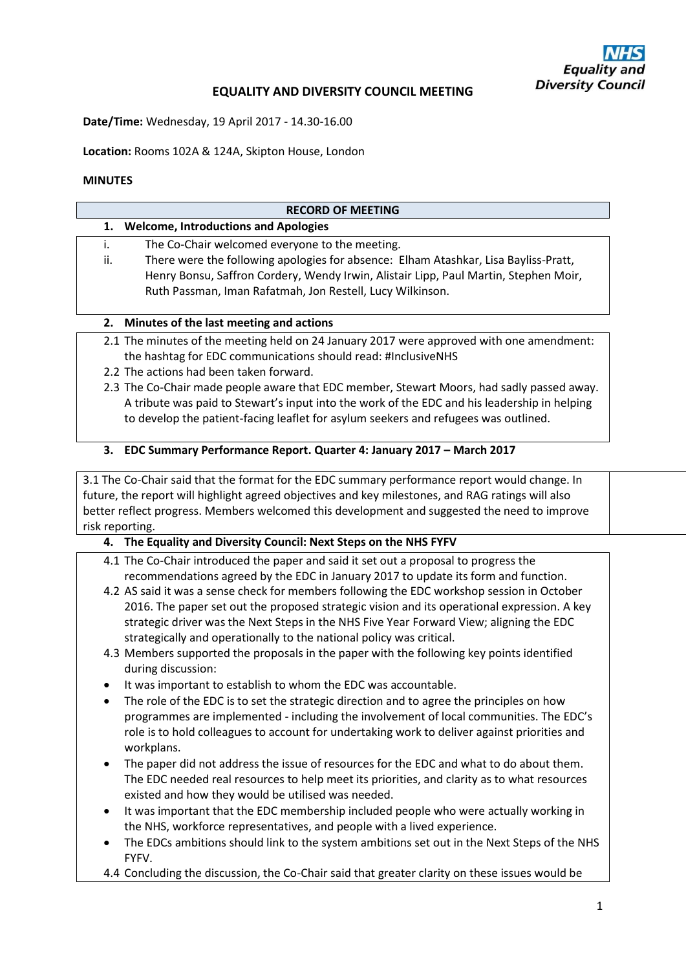## **EQUALITY AND DIVERSITY COUNCIL MEETING**

**Date/Time:** Wednesday, 19 April 2017 - 14.30-16.00

**Location:** Rooms 102A & 124A, Skipton House, London

### **MINUTES**

#### **RECORD OF MEETING**

|  | <b>Welcome, Introductions and Apologies</b> |
|--|---------------------------------------------|
|--|---------------------------------------------|

- i. The Co-Chair welcomed everyone to the meeting.
- ii. There were the following apologies for absence: Elham Atashkar, Lisa Bayliss-Pratt, Henry Bonsu, Saffron Cordery, Wendy Irwin, Alistair Lipp, Paul Martin, Stephen Moir, Ruth Passman, Iman Rafatmah, Jon Restell, Lucy Wilkinson.

### **2. Minutes of the last meeting and actions**

- 2.1 The minutes of the meeting held on 24 January 2017 were approved with one amendment: the hashtag for EDC communications should read: #InclusiveNHS
- 2.2 The actions had been taken forward.
- 2.3 The Co-Chair made people aware that EDC member, Stewart Moors, had sadly passed away. A tribute was paid to Stewart's input into the work of the EDC and his leadership in helping to develop the patient-facing leaflet for asylum seekers and refugees was outlined.

### **3. EDC Summary Performance Report. Quarter 4: January 2017 – March 2017**

3.1 The Co-Chair said that the format for the EDC summary performance report would change. In future, the report will highlight agreed objectives and key milestones, and RAG ratings will also better reflect progress. Members welcomed this development and suggested the need to improve risk reporting.

### **4. The Equality and Diversity Council: Next Steps on the NHS FYFV**

- 4.1 The Co-Chair introduced the paper and said it set out a proposal to progress the recommendations agreed by the EDC in January 2017 to update its form and function.
- 4.2 AS said it was a sense check for members following the EDC workshop session in October 2016. The paper set out the proposed strategic vision and its operational expression. A key strategic driver was the Next Steps in the NHS Five Year Forward View; aligning the EDC strategically and operationally to the national policy was critical.
- 4.3 Members supported the proposals in the paper with the following key points identified during discussion:
- It was important to establish to whom the EDC was accountable.
- The role of the EDC is to set the strategic direction and to agree the principles on how programmes are implemented - including the involvement of local communities. The EDC's role is to hold colleagues to account for undertaking work to deliver against priorities and workplans.
- The paper did not address the issue of resources for the EDC and what to do about them. The EDC needed real resources to help meet its priorities, and clarity as to what resources existed and how they would be utilised was needed.
- It was important that the EDC membership included people who were actually working in the NHS, workforce representatives, and people with a lived experience.
- The EDCs ambitions should link to the system ambitions set out in the Next Steps of the NHS FYFV.
- 4.4 Concluding the discussion, the Co-Chair said that greater clarity on these issues would be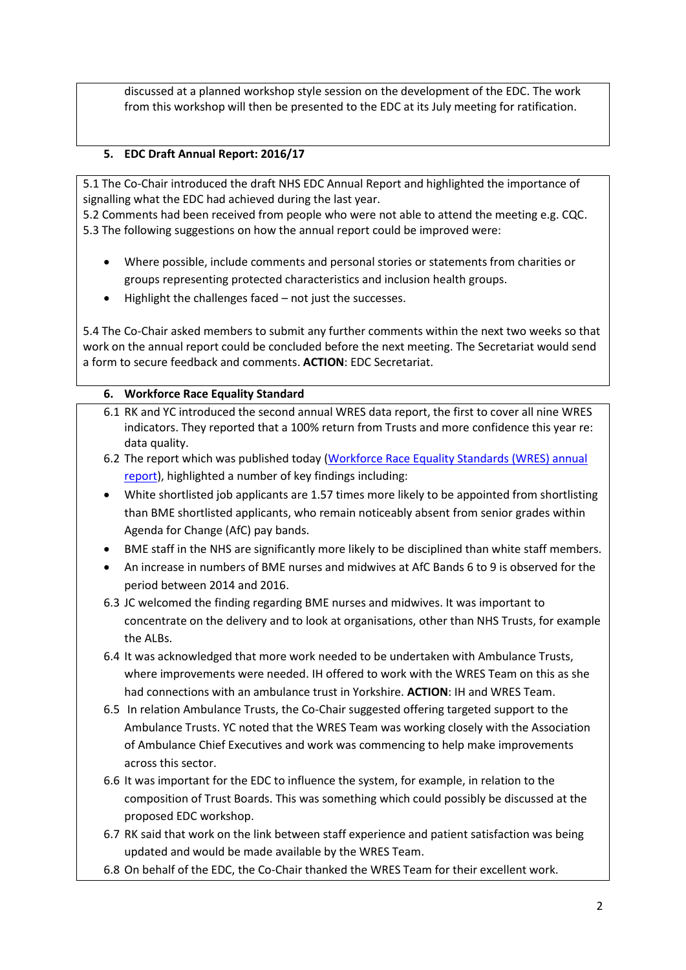discussed at a planned workshop style session on the development of the EDC. The work from this workshop will then be presented to the EDC at its July meeting for ratification.

## **5. EDC Draft Annual Report: 2016/17**

5.1 The Co-Chair introduced the draft NHS EDC Annual Report and highlighted the importance of signalling what the EDC had achieved during the last year.

5.2 Comments had been received from people who were not able to attend the meeting e.g. CQC. 5.3 The following suggestions on how the annual report could be improved were:

- Where possible, include comments and personal stories or statements from charities or groups representing protected characteristics and inclusion health groups.
- Highlight the challenges faced not just the successes.

5.4 The Co-Chair asked members to submit any further comments within the next two weeks so that work on the annual report could be concluded before the next meeting. The Secretariat would send a form to secure feedback and comments. **ACTION**: EDC Secretariat.

## **6. Workforce Race Equality Standard**

- 6.1 RK and YC introduced the second annual WRES data report, the first to cover all nine WRES indicators. They reported that a 100% return from Trusts and more confidence this year re: data quality.
- 6.2 The report which was published today [\(Workforce Race Equality Standards \(WRES\) annual](https://www.england.nhs.uk/wp-content/uploads/2017/03/workforce-race-equality-standard-data-report-2016.pdf)  [report\)](https://www.england.nhs.uk/wp-content/uploads/2017/03/workforce-race-equality-standard-data-report-2016.pdf), highlighted a number of key findings including:
- White shortlisted job applicants are 1.57 times more likely to be appointed from shortlisting than BME shortlisted applicants, who remain noticeably absent from senior grades within Agenda for Change (AfC) pay bands.
- BME staff in the NHS are significantly more likely to be disciplined than white staff members.
- An increase in numbers of BME nurses and midwives at AfC Bands 6 to 9 is observed for the period between 2014 and 2016.
- 6.3 JC welcomed the finding regarding BME nurses and midwives. It was important to concentrate on the delivery and to look at organisations, other than NHS Trusts, for example the ALBs.
- 6.4 It was acknowledged that more work needed to be undertaken with Ambulance Trusts, where improvements were needed. IH offered to work with the WRES Team on this as she had connections with an ambulance trust in Yorkshire. **ACTION**: IH and WRES Team.
- 6.5 In relation Ambulance Trusts, the Co-Chair suggested offering targeted support to the Ambulance Trusts. YC noted that the WRES Team was working closely with the Association of Ambulance Chief Executives and work was commencing to help make improvements across this sector.
- 6.6 It was important for the EDC to influence the system, for example, in relation to the composition of Trust Boards. This was something which could possibly be discussed at the proposed EDC workshop.
- 6.7 RK said that work on the link between staff experience and patient satisfaction was being updated and would be made available by the WRES Team.
- 6.8 On behalf of the EDC, the Co-Chair thanked the WRES Team for their excellent work.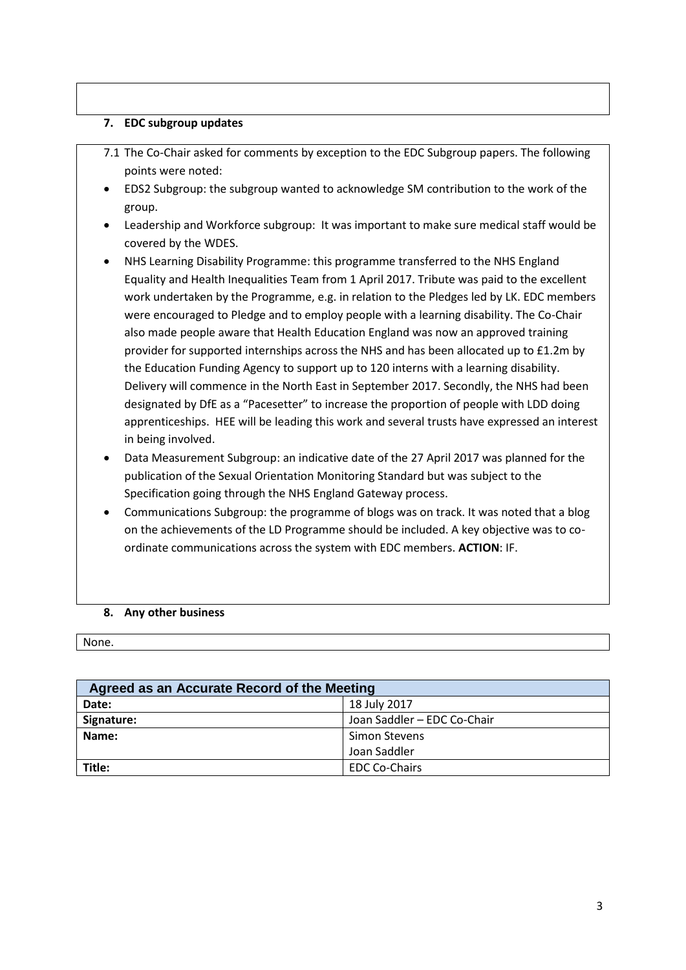## **7. EDC subgroup updates**

- 7.1 The Co-Chair asked for comments by exception to the EDC Subgroup papers. The following points were noted:
- EDS2 Subgroup: the subgroup wanted to acknowledge SM contribution to the work of the group.
- Leadership and Workforce subgroup: It was important to make sure medical staff would be covered by the WDES.
- NHS Learning Disability Programme: this programme transferred to the NHS England Equality and Health Inequalities Team from 1 April 2017. Tribute was paid to the excellent work undertaken by the Programme, e.g. in relation to the Pledges led by LK. EDC members were encouraged to Pledge and to employ people with a learning disability. The Co-Chair also made people aware that Health Education England was now an approved training provider for supported internships across the NHS and has been allocated up to £1.2m by the Education Funding Agency to support up to 120 interns with a learning disability. Delivery will commence in the North East in September 2017. Secondly, the NHS had been designated by DfE as a "Pacesetter" to increase the proportion of people with LDD doing apprenticeships. HEE will be leading this work and several trusts have expressed an interest in being involved.
- Data Measurement Subgroup: an indicative date of the 27 April 2017 was planned for the publication of the Sexual Orientation Monitoring Standard but was subject to the Specification going through the NHS England Gateway process.
- Communications Subgroup: the programme of blogs was on track. It was noted that a blog on the achievements of the LD Programme should be included. A key objective was to coordinate communications across the system with EDC members. **ACTION**: IF.

### **8. Any other business**

None.

| Agreed as an Accurate Record of the Meeting |                             |  |  |  |
|---------------------------------------------|-----------------------------|--|--|--|
| Date:                                       | 18 July 2017                |  |  |  |
| Signature:                                  | Joan Saddler - EDC Co-Chair |  |  |  |
| Name:                                       | Simon Stevens               |  |  |  |
|                                             | Joan Saddler                |  |  |  |
| Title:                                      | <b>EDC Co-Chairs</b>        |  |  |  |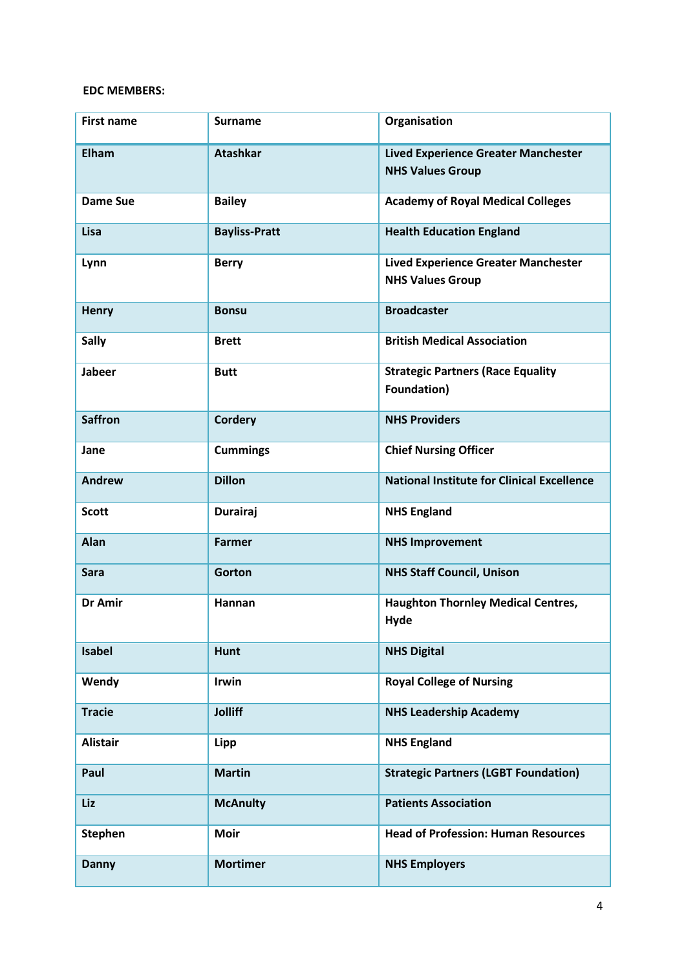### **EDC MEMBERS:**

| <b>First name</b> | <b>Surname</b>       | Organisation                                                          |
|-------------------|----------------------|-----------------------------------------------------------------------|
| Elham             | <b>Atashkar</b>      | <b>Lived Experience Greater Manchester</b><br><b>NHS Values Group</b> |
| <b>Dame Sue</b>   | <b>Bailey</b>        | <b>Academy of Royal Medical Colleges</b>                              |
| Lisa              | <b>Bayliss-Pratt</b> | <b>Health Education England</b>                                       |
| Lynn              | <b>Berry</b>         | <b>Lived Experience Greater Manchester</b><br><b>NHS Values Group</b> |
| <b>Henry</b>      | <b>Bonsu</b>         | <b>Broadcaster</b>                                                    |
| <b>Sally</b>      | <b>Brett</b>         | <b>British Medical Association</b>                                    |
| <b>Jabeer</b>     | <b>Butt</b>          | <b>Strategic Partners (Race Equality</b><br>Foundation)               |
| <b>Saffron</b>    | <b>Cordery</b>       | <b>NHS Providers</b>                                                  |
| Jane              | <b>Cummings</b>      | <b>Chief Nursing Officer</b>                                          |
| Andrew            | <b>Dillon</b>        | <b>National Institute for Clinical Excellence</b>                     |
| <b>Scott</b>      | <b>Durairaj</b>      | <b>NHS England</b>                                                    |
| Alan              | <b>Farmer</b>        | <b>NHS Improvement</b>                                                |
| <b>Sara</b>       | Gorton               | <b>NHS Staff Council, Unison</b>                                      |
| Dr Amir           | <b>Hannan</b>        | <b>Haughton Thornley Medical Centres,</b><br><b>Hyde</b>              |
| <b>Isabel</b>     | <b>Hunt</b>          | <b>NHS Digital</b>                                                    |
| Wendy             | Irwin                | <b>Royal College of Nursing</b>                                       |
| <b>Tracie</b>     | <b>Jolliff</b>       | <b>NHS Leadership Academy</b>                                         |
| <b>Alistair</b>   | Lipp                 | <b>NHS England</b>                                                    |
| Paul              | <b>Martin</b>        | <b>Strategic Partners (LGBT Foundation)</b>                           |
| Liz               | <b>McAnulty</b>      | <b>Patients Association</b>                                           |
| <b>Stephen</b>    | <b>Moir</b>          | <b>Head of Profession: Human Resources</b>                            |
| <b>Danny</b>      | <b>Mortimer</b>      | <b>NHS Employers</b>                                                  |